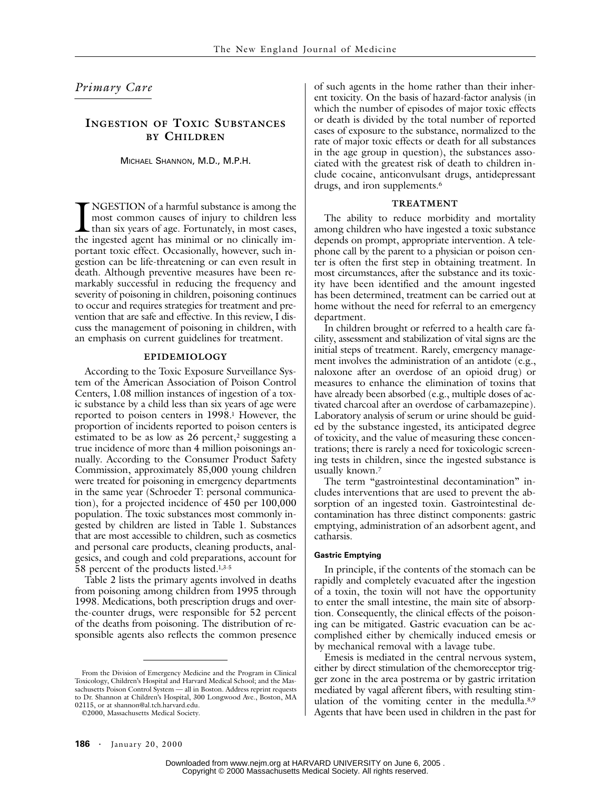# *Primary Care*

# **INGESTION OF TOXIC SUBSTANCES BY CHILDREN**

MICHAEL SHANNON, M.D., M.P.H.

NGESTION of a harmful substance is among the most common causes of injury to children less than six years of age. Fortunately, in most cases, INGESTION of a harmful substance is among the most common causes of injury to children less than six years of age. Fortunately, in most cases, the ingested agent has minimal or no clinically important toxic effect. Occasionally, however, such ingestion can be life-threatening or can even result in death. Although preventive measures have been remarkably successful in reducing the frequency and severity of poisoning in children, poisoning continues to occur and requires strategies for treatment and prevention that are safe and effective. In this review, I discuss the management of poisoning in children, with an emphasis on current guidelines for treatment.

## **EPIDEMIOLOGY**

According to the Toxic Exposure Surveillance System of the American Association of Poison Control Centers, 1.08 million instances of ingestion of a toxic substance by a child less than six years of age were reported to poison centers in 1998.<sup>1</sup> However, the proportion of incidents reported to poison centers is estimated to be as low as  $26$  percent,<sup>2</sup> suggesting a true incidence of more than 4 million poisonings annually. According to the Consumer Product Safety Commission, approximately 85,000 young children were treated for poisoning in emergency departments in the same year (Schroeder T: personal communication), for a projected incidence of 450 per 100,000 population. The toxic substances most commonly ingested by children are listed in Table 1. Substances that are most accessible to children, such as cosmetics and personal care products, cleaning products, analgesics, and cough and cold preparations, account for 58 percent of the products listed.1,3-5

Table 2 lists the primary agents involved in deaths from poisoning among children from 1995 through 1998. Medications, both prescription drugs and overthe-counter drugs, were responsible for 52 percent of the deaths from poisoning. The distribution of responsible agents also reflects the common presence of such agents in the home rather than their inherent toxicity. On the basis of hazard-factor analysis (in which the number of episodes of major toxic effects or death is divided by the total number of reported cases of exposure to the substance, normalized to the rate of major toxic effects or death for all substances in the age group in question), the substances associated with the greatest risk of death to children include cocaine, anticonvulsant drugs, antidepressant drugs, and iron supplements.<sup>6</sup>

#### **TREATMENT**

The ability to reduce morbidity and mortality among children who have ingested a toxic substance depends on prompt, appropriate intervention. A telephone call by the parent to a physician or poison center is often the first step in obtaining treatment. In most circumstances, after the substance and its toxicity have been identified and the amount ingested has been determined, treatment can be carried out at home without the need for referral to an emergency department.

In children brought or referred to a health care facility, assessment and stabilization of vital signs are the initial steps of treatment. Rarely, emergency management involves the administration of an antidote (e.g., naloxone after an overdose of an opioid drug) or measures to enhance the elimination of toxins that have already been absorbed (e.g., multiple doses of activated charcoal after an overdose of carbamazepine). Laboratory analysis of serum or urine should be guided by the substance ingested, its anticipated degree of toxicity, and the value of measuring these concentrations; there is rarely a need for toxicologic screening tests in children, since the ingested substance is usually known.7

The term "gastrointestinal decontamination" includes interventions that are used to prevent the absorption of an ingested toxin. Gastrointestinal decontamination has three distinct components: gastric emptying, administration of an adsorbent agent, and catharsis.

#### **Gastric Emptying**

In principle, if the contents of the stomach can be rapidly and completely evacuated after the ingestion of a toxin, the toxin will not have the opportunity to enter the small intestine, the main site of absorption. Consequently, the clinical effects of the poisoning can be mitigated. Gastric evacuation can be accomplished either by chemically induced emesis or by mechanical removal with a lavage tube.

Emesis is mediated in the central nervous system, either by direct stimulation of the chemoreceptor trigger zone in the area postrema or by gastric irritation mediated by vagal afferent fibers, with resulting stimulation of the vomiting center in the medulla.<sup>8,9</sup> Agents that have been used in children in the past for

From the Division of Emergency Medicine and the Program in Clinical Toxicology, Children's Hospital and Harvard Medical School; and the Massachusetts Poison Control System — all in Boston. Address reprint requests to Dr. Shannon at Children's Hospital, 300 Longwood Ave., Boston, MA 02115, or at shannon@al.tch.harvard.edu.

<sup>©2000,</sup> Massachusetts Medical Society.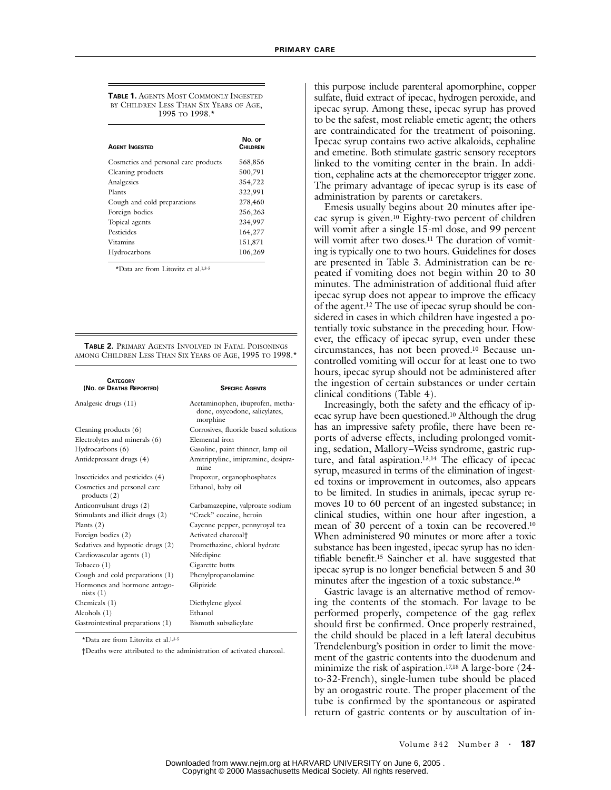**TABLE 1.** AGENTS MOST COMMONLY INGESTED BY CHILDREN LESS THAN SIX YEARS OF AGE, 1995 TO 1998.\*

| <b>AGENT INGESTED</b>                | No. OF<br><b>CHILDREN</b> |
|--------------------------------------|---------------------------|
| Cosmetics and personal care products | 568,856                   |
| Cleaning products                    | 500,791                   |
| Analgesics                           | 354,722                   |
| Plants                               | 322,991                   |
| Cough and cold preparations          | 278,460                   |
| Foreign bodies                       | 256,263                   |
| Topical agents                       | 234,997                   |
| Pesticides                           | 164,277                   |
| <b>Vitamins</b>                      | 151,871                   |
| Hydrocarbons                         | 106,269                   |

\*Data are from Litovitz et al.1,3-5

**TABLE 2.** PRIMARY AGENTS INVOLVED IN FATAL POISONINGS AMONG CHILDREN LESS THAN SIX YEARS OF AGE, 1995 TO 1998.\*

| <b>CATEGORY</b><br>(No. of DEATHS REPORTED)   | <b>SPECIFIC AGENTS</b>                                                        |
|-----------------------------------------------|-------------------------------------------------------------------------------|
| Analgesic drugs (11)                          | Acetaminophen, ibuprofen, metha-<br>done, oxycodone, salicylates,<br>morphine |
| Cleaning products $(6)$                       | Corrosives, fluoride-based solutions                                          |
| Electrolytes and minerals (6)                 | Elemental iron                                                                |
| Hydrocarbons (6)                              | Gasoline, paint thinner, lamp oil                                             |
| Antidepressant drugs (4)                      | Amitriptyline, imipramine, desipra-<br>mine                                   |
| Insecticides and pesticides (4)               | Propoxur, organophosphates                                                    |
| Cosmetics and personal care<br>products $(2)$ | Ethanol, baby oil                                                             |
| Anticonvulsant drugs (2)                      | Carbamazepine, valproate sodium                                               |
| Stimulants and illicit drugs (2)              | "Crack" cocaine, heroin                                                       |
| Plants $(2)$                                  | Cayenne pepper, pennyroyal tea                                                |
| Foreign bodies (2)                            | Activated charcoal <sup>+</sup>                                               |
| Sedatives and hypnotic drugs (2)              | Promethazine, chloral hydrate                                                 |
| Cardiovascular agents (1)                     | Nifedipine                                                                    |
| Tobacco (1)                                   | Cigarette butts                                                               |
| Cough and cold preparations (1)               | Phenylpropanolamine                                                           |
| Hormones and hormone antago-<br>nists(1)      | Glipizide                                                                     |
| Chemicals $(1)$                               | Diethylene glycol                                                             |
| Alcohols $(1)$                                | Ethanol                                                                       |
| Gastrointestinal preparations (1)             | Bismuth subsalicylate                                                         |
|                                               |                                                                               |

\*Data are from Litovitz et al.1,3-5

†Deaths were attributed to the administration of activated charcoal.

this purpose include parenteral apomorphine, copper sulfate, fluid extract of ipecac, hydrogen peroxide, and ipecac syrup. Among these, ipecac syrup has proved to be the safest, most reliable emetic agent; the others are contraindicated for the treatment of poisoning. Ipecac syrup contains two active alkaloids, cephaline and emetine. Both stimulate gastric sensory receptors linked to the vomiting center in the brain. In addition, cephaline acts at the chemoreceptor trigger zone. The primary advantage of ipecac syrup is its ease of administration by parents or caretakers.

Emesis usually begins about 20 minutes after ipecac syrup is given.10 Eighty-two percent of children will vomit after a single 15-ml dose, and 99 percent will vomit after two doses.<sup>11</sup> The duration of vomiting is typically one to two hours. Guidelines for doses are presented in Table 3. Administration can be repeated if vomiting does not begin within 20 to 30 minutes. The administration of additional fluid after ipecac syrup does not appear to improve the efficacy of the agent.12 The use of ipecac syrup should be considered in cases in which children have ingested a potentially toxic substance in the preceding hour. However, the efficacy of ipecac syrup, even under these circumstances, has not been proved.10 Because uncontrolled vomiting will occur for at least one to two hours, ipecac syrup should not be administered after the ingestion of certain substances or under certain clinical conditions (Table 4).

Increasingly, both the safety and the efficacy of ipecac syrup have been questioned.10 Although the drug has an impressive safety profile, there have been reports of adverse effects, including prolonged vomiting, sedation, Mallory–Weiss syndrome, gastric rupture, and fatal aspiration.13,14 The efficacy of ipecac syrup, measured in terms of the elimination of ingested toxins or improvement in outcomes, also appears to be limited. In studies in animals, ipecac syrup removes 10 to 60 percent of an ingested substance; in clinical studies, within one hour after ingestion, a mean of 30 percent of a toxin can be recovered.10 When administered 90 minutes or more after a toxic substance has been ingested, ipecac syrup has no identifiable benefit.15 Saincher et al. have suggested that ipecac syrup is no longer beneficial between 5 and 30 minutes after the ingestion of a toxic substance.16

Gastric lavage is an alternative method of removing the contents of the stomach. For lavage to be performed properly, competence of the gag reflex should first be confirmed. Once properly restrained, the child should be placed in a left lateral decubitus Trendelenburg's position in order to limit the movement of the gastric contents into the duodenum and minimize the risk of aspiration.<sup>17,18</sup> A large-bore (24to-32-French), single-lumen tube should be placed by an orogastric route. The proper placement of the tube is confirmed by the spontaneous or aspirated return of gastric contents or by auscultation of in-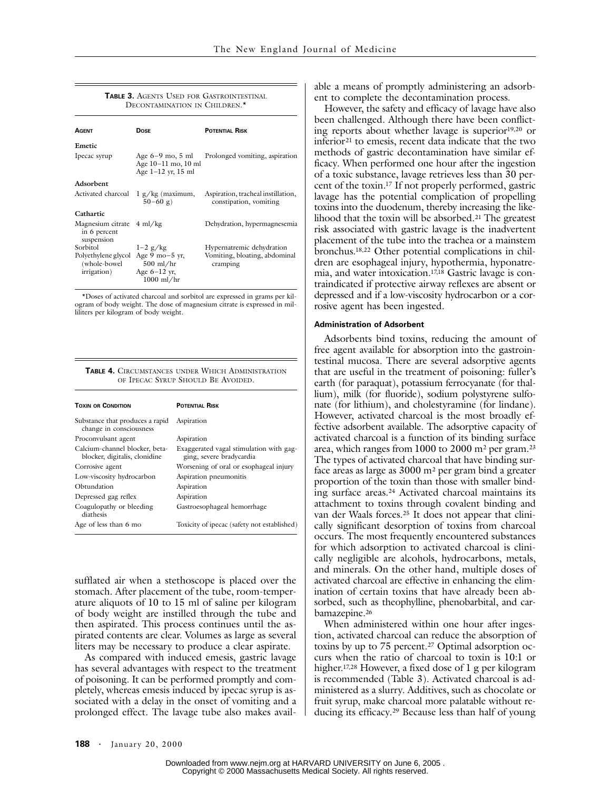| <b>TABLE 3. AGENTS USED FOR GASTROINTESTINAL</b><br>DECONTAMINATION IN CHILDREN.* |                                                                     |                                                              |  |
|-----------------------------------------------------------------------------------|---------------------------------------------------------------------|--------------------------------------------------------------|--|
| <b>AGENT</b>                                                                      | <b>DOSE</b>                                                         | <b>POTENTIAL RISK</b>                                        |  |
| Emetic                                                                            |                                                                     |                                                              |  |
| Ipecac syrup                                                                      | Age $6-9$ mo, $5$ ml<br>Age 10-11 mo, 10 ml<br>Age $1-12$ yr, 15 ml | Prolonged vomiting, aspiration                               |  |
| Adsorbent                                                                         |                                                                     |                                                              |  |
| Activated charcoal                                                                | $1 g/kg$ (maximum,<br>$50-60$ g)                                    | Aspiration, tracheal instillation,<br>constipation, vomiting |  |
| Cathartic                                                                         |                                                                     |                                                              |  |
| Magnesium citrate 4 ml/kg<br>in 6 percent<br>suspension                           |                                                                     | Dehydration, hypermagnesemia                                 |  |
| Sorbitol                                                                          | $1-2$ g/kg                                                          | Hypernatremic dehydration                                    |  |
| Polyethylene glycol Age 9 mo-5 yr,<br>(whole-bowel)<br>irrigation)                | $500$ ml/hr<br>Age $6-12$ yr,                                       | Vomiting, bloating, abdominal<br>cramping                    |  |

\*Doses of activated charcoal and sorbitol are expressed in grams per kilogram of body weight. The dose of magnesium citrate is expressed in milliliters per kilogram of body weight.

1000 ml/hr

**TABLE 4.** CIRCUMSTANCES UNDER WHICH ADMINISTRATION OF IPECAC SYRUP SHOULD BE AVOIDED.

| <b>TOXIN OR CONDITION</b>                                       | <b>POTENTIAL RISK</b>                                               |
|-----------------------------------------------------------------|---------------------------------------------------------------------|
| Substance that produces a rapid<br>change in consciousness      | Aspiration                                                          |
| Proconvulsant agent                                             | Aspiration                                                          |
| Calcium-channel blocker, beta-<br>blocker, digitalis, clonidine | Exaggerated vagal stimulation with gag-<br>ging, severe bradycardia |
| Corrosive agent                                                 | Worsening of oral or esophageal injury                              |
| Low-viscosity hydrocarbon                                       | Aspiration pneumonitis                                              |
| Obtundation                                                     | Aspiration                                                          |
| Depressed gag reflex                                            | Aspiration                                                          |
| Coagulopathy or bleeding<br>diathesis                           | Gastroesophageal hemorrhage                                         |
| Age of less than 6 mo                                           | Toxicity of ipecac (safety not established)                         |

sufflated air when a stethoscope is placed over the stomach. After placement of the tube, room-temperature aliquots of 10 to 15 ml of saline per kilogram of body weight are instilled through the tube and then aspirated. This process continues until the aspirated contents are clear. Volumes as large as several liters may be necessary to produce a clear aspirate.

As compared with induced emesis, gastric lavage has several advantages with respect to the treatment of poisoning. It can be performed promptly and completely, whereas emesis induced by ipecac syrup is associated with a delay in the onset of vomiting and a prolonged effect. The lavage tube also makes available a means of promptly administering an adsorbent to complete the decontamination process.

However, the safety and efficacy of lavage have also been challenged. Although there have been conflicting reports about whether lavage is superior<sup>19,20</sup> or inferior<sup>21</sup> to emesis, recent data indicate that the two methods of gastric decontamination have similar efficacy. When performed one hour after the ingestion of a toxic substance, lavage retrieves less than 30 percent of the toxin.17 If not properly performed, gastric lavage has the potential complication of propelling toxins into the duodenum, thereby increasing the likelihood that the toxin will be absorbed.21 The greatest risk associated with gastric lavage is the inadvertent placement of the tube into the trachea or a mainstem bronchus.18,22 Other potential complications in children are esophageal injury, hypothermia, hyponatremia, and water intoxication.17,18 Gastric lavage is contraindicated if protective airway reflexes are absent or depressed and if a low-viscosity hydrocarbon or a corrosive agent has been ingested.

#### **Administration of Adsorbent**

Adsorbents bind toxins, reducing the amount of free agent available for absorption into the gastrointestinal mucosa. There are several adsorptive agents that are useful in the treatment of poisoning: fuller's earth (for paraquat), potassium ferrocyanate (for thallium), milk (for fluoride), sodium polystyrene sulfonate (for lithium), and cholestyramine (for lindane). However, activated charcoal is the most broadly effective adsorbent available. The adsorptive capacity of activated charcoal is a function of its binding surface area, which ranges from 1000 to 2000 m2 per gram.23 The types of activated charcoal that have binding surface areas as large as 3000 m2 per gram bind a greater proportion of the toxin than those with smaller binding surface areas.24 Activated charcoal maintains its attachment to toxins through covalent binding and van der Waals forces.25 It does not appear that clinically significant desorption of toxins from charcoal occurs. The most frequently encountered substances for which adsorption to activated charcoal is clinically negligible are alcohols, hydrocarbons, metals, and minerals. On the other hand, multiple doses of activated charcoal are effective in enhancing the elimination of certain toxins that have already been absorbed, such as theophylline, phenobarbital, and carbamazepine.<sup>26</sup>

When administered within one hour after ingestion, activated charcoal can reduce the absorption of toxins by up to 75 percent.<sup>27</sup> Optimal adsorption occurs when the ratio of charcoal to toxin is 10:1 or higher.17,28 However, a fixed dose of 1 g per kilogram is recommended (Table 3). Activated charcoal is administered as a slurry. Additives, such as chocolate or fruit syrup, make charcoal more palatable without reducing its efficacy.29 Because less than half of young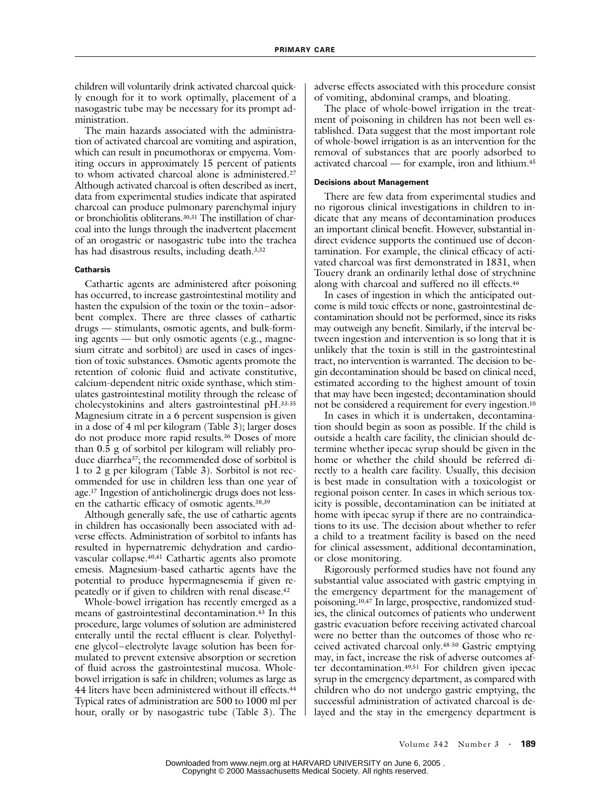children will voluntarily drink activated charcoal quickly enough for it to work optimally, placement of a nasogastric tube may be necessary for its prompt administration.

The main hazards associated with the administration of activated charcoal are vomiting and aspiration, which can result in pneumothorax or empyema. Vomiting occurs in approximately 15 percent of patients to whom activated charcoal alone is administered.27 Although activated charcoal is often described as inert, data from experimental studies indicate that aspirated charcoal can produce pulmonary parenchymal injury or bronchiolitis obliterans.30,31 The instillation of charcoal into the lungs through the inadvertent placement of an orogastric or nasogastric tube into the trachea has had disastrous results, including death.3,32

### **Catharsis**

Cathartic agents are administered after poisoning has occurred, to increase gastrointestinal motility and hasten the expulsion of the toxin or the toxin–adsorbent complex. There are three classes of cathartic drugs — stimulants, osmotic agents, and bulk-forming agents — but only osmotic agents (e.g., magnesium citrate and sorbitol) are used in cases of ingestion of toxic substances. Osmotic agents promote the retention of colonic fluid and activate constitutive, calcium-dependent nitric oxide synthase, which stimulates gastrointestinal motility through the release of cholecystokinins and alters gastrointestinal pH.33-35 Magnesium citrate in a 6 percent suspension is given in a dose of 4 ml per kilogram (Table 3); larger doses do not produce more rapid results.36 Doses of more than 0.5 g of sorbitol per kilogram will reliably produce diarrhea37; the recommended dose of sorbitol is 1 to 2 g per kilogram (Table 3). Sorbitol is not recommended for use in children less than one year of age.17 Ingestion of anticholinergic drugs does not lessen the cathartic efficacy of osmotic agents.38,39

Although generally safe, the use of cathartic agents in children has occasionally been associated with adverse effects. Administration of sorbitol to infants has resulted in hypernatremic dehydration and cardiovascular collapse.40,41 Cathartic agents also promote emesis. Magnesium-based cathartic agents have the potential to produce hypermagnesemia if given repeatedly or if given to children with renal disease.42

Whole-bowel irrigation has recently emerged as a means of gastrointestinal decontamination.43 In this procedure, large volumes of solution are administered enterally until the rectal effluent is clear. Polyethylene glycol–electrolyte lavage solution has been formulated to prevent extensive absorption or secretion of fluid across the gastrointestinal mucosa. Wholebowel irrigation is safe in children; volumes as large as 44 liters have been administered without ill effects.44 Typical rates of administration are 500 to 1000 ml per hour, orally or by nasogastric tube (Table 3). The adverse effects associated with this procedure consist of vomiting, abdominal cramps, and bloating.

The place of whole-bowel irrigation in the treatment of poisoning in children has not been well established. Data suggest that the most important role of whole-bowel irrigation is as an intervention for the removal of substances that are poorly adsorbed to activated charcoal — for example, iron and lithium.45

#### **Decisions about Management**

There are few data from experimental studies and no rigorous clinical investigations in children to indicate that any means of decontamination produces an important clinical benefit. However, substantial indirect evidence supports the continued use of decontamination. For example, the clinical efficacy of activated charcoal was first demonstrated in 1831, when Touery drank an ordinarily lethal dose of strychnine along with charcoal and suffered no ill effects.46

In cases of ingestion in which the anticipated outcome is mild toxic effects or none, gastrointestinal decontamination should not be performed, since its risks may outweigh any benefit. Similarly, if the interval between ingestion and intervention is so long that it is unlikely that the toxin is still in the gastrointestinal tract, no intervention is warranted. The decision to begin decontamination should be based on clinical need, estimated according to the highest amount of toxin that may have been ingested; decontamination should not be considered a requirement for every ingestion.10

In cases in which it is undertaken, decontamination should begin as soon as possible. If the child is outside a health care facility, the clinician should determine whether ipecac syrup should be given in the home or whether the child should be referred directly to a health care facility. Usually, this decision is best made in consultation with a toxicologist or regional poison center. In cases in which serious toxicity is possible, decontamination can be initiated at home with ipecac syrup if there are no contraindications to its use. The decision about whether to refer a child to a treatment facility is based on the need for clinical assessment, additional decontamination, or close monitoring.

Rigorously performed studies have not found any substantial value associated with gastric emptying in the emergency department for the management of poisoning.10,47 In large, prospective, randomized studies, the clinical outcomes of patients who underwent gastric evacuation before receiving activated charcoal were no better than the outcomes of those who received activated charcoal only.48-50 Gastric emptying may, in fact, increase the risk of adverse outcomes after decontamination.49,51 For children given ipecac syrup in the emergency department, as compared with children who do not undergo gastric emptying, the successful administration of activated charcoal is delayed and the stay in the emergency department is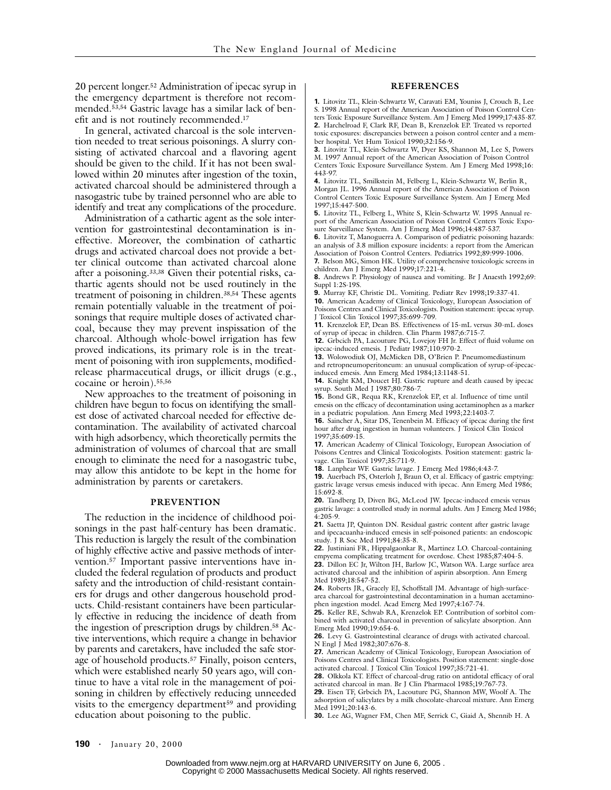20 percent longer.52 Administration of ipecac syrup in the emergency department is therefore not recommended.53,54 Gastric lavage has a similar lack of benefit and is not routinely recommended.17

In general, activated charcoal is the sole intervention needed to treat serious poisonings. A slurry consisting of activated charcoal and a flavoring agent should be given to the child. If it has not been swallowed within 20 minutes after ingestion of the toxin, activated charcoal should be administered through a nasogastric tube by trained personnel who are able to identify and treat any complications of the procedure.

Administration of a cathartic agent as the sole intervention for gastrointestinal decontamination is ineffective. Moreover, the combination of cathartic drugs and activated charcoal does not provide a better clinical outcome than activated charcoal alone after a poisoning.33,38 Given their potential risks, cathartic agents should not be used routinely in the treatment of poisoning in children.38,54 These agents remain potentially valuable in the treatment of poisonings that require multiple doses of activated charcoal, because they may prevent inspissation of the charcoal. Although whole-bowel irrigation has few proved indications, its primary role is in the treatment of poisoning with iron supplements, modifiedrelease pharmaceutical drugs, or illicit drugs (e.g., cocaine or heroin).55,56

New approaches to the treatment of poisoning in children have begun to focus on identifying the smallest dose of activated charcoal needed for effective decontamination. The availability of activated charcoal with high adsorbency, which theoretically permits the administration of volumes of charcoal that are small enough to eliminate the need for a nasogastric tube, may allow this antidote to be kept in the home for administration by parents or caretakers.

#### **PREVENTION**

The reduction in the incidence of childhood poisonings in the past half-century has been dramatic. This reduction is largely the result of the combination of highly effective active and passive methods of intervention.57 Important passive interventions have included the federal regulation of products and product safety and the introduction of child-resistant containers for drugs and other dangerous household products. Child-resistant containers have been particularly effective in reducing the incidence of death from the ingestion of prescription drugs by children.58 Active interventions, which require a change in behavior by parents and caretakers, have included the safe storage of household products.<sup>57</sup> Finally, poison centers, which were established nearly 50 years ago, will continue to have a vital role in the management of poisoning in children by effectively reducing unneeded visits to the emergency department<sup>59</sup> and providing education about poisoning to the public.

### **REFERENCES**

**1.** Litovitz TL, Klein-Schwartz W, Caravati EM, Youniss J, Crouch B, Lee S. 1998 Annual report of the American Association of Poison Control Centers Toxic Exposure Surveillance System. Am J Emerg Med 1999;17:435-87. **2.** Harchelroad F, Clark RF, Dean B, Krenzelok EP. Treated vs reported toxic exposures: discrepancies between a poison control center and a mem-

ber hospital. Vet Hum Toxicol 1990;32:156-9. **3.** Litovitz TL, Klein-Schwartz W, Dyer KS, Shannon M, Lee S, Powers M. 1997 Annual report of the American Association of Poison Control Centers Toxic Exposure Surveillance System. Am J Emerg Med 1998;16: 443-97.

**4.** Litovitz TL, Smilkstein M, Felberg L, Klein-Schwartz W, Berlin R, Morgan JL. 1996 Annual report of the American Association of Poison Control Centers Toxic Exposure Surveillance System. Am J Emerg Med 1997;15:447-500.

**5.** Litovitz TL, Felberg L, White S, Klein-Schwartz W. 1995 Annual report of the American Association of Poison Control Centers Toxic Exposure Surveillance System. Am J Emerg Med 1996;14:487-537.

**6.** Litovitz T, Manoguerra A. Comparison of pediatric poisoning hazards: an analysis of 3.8 million exposure incidents: a report from the American Association of Poison Control Centers. Pediatrics 1992;89:999-1006. **7.** Belson MG, Simon HK. Utility of comprehensive toxicologic screens in

children. Am J Emerg Med 1999;17:221-4. **8.** Andrews P. Physiology of nausea and vomiting. Br J Anaesth 1992;69: Suppl 1:2S-19S.

**9.** Murray KF, Christie DL. Vomiting. Pediatr Rev 1998;19:337-41.

**10.** American Academy of Clinical Toxicology, European Association of Poisons Centres and Clinical Toxicologists. Position statement: ipecac syrup. J Toxicol Clin Toxicol 1997;35:699-709.

**11.** Krenzelok EP, Dean BS. Effectiveness of 15-mL versus 30-mL doses of syrup of ipecac in children. Clin Pharm 1987;6:715-7.

**12.** Grbcich PA, Lacouture PG, Lovejoy FH Jr. Effect of fluid volume on ipecac-induced emesis. J Pediatr 1987;110:970-2.

**13.** Wolowodiuk OJ, McMicken DB, O'Brien P. Pneumomediastinum

and retropneumoperitoneum: an unusual complication of syrup-of-ipecacinduced emesis. Ann Emerg Med 1984;13:1148-51.

**14.** Knight KM, Doucet HJ. Gastric rupture and death caused by ipecac syrup. South Med J 1987;80:786-7.

**15.** Bond GR, Requa RK, Krenzelok EP, et al. Influence of time until emesis on the efficacy of decontamination using acetaminophen as a marker in a pediatric population. Ann Emerg Med 1993;22:1403-7.

**16.** Saincher A, Sitar DS, Tenenbein M. Efficacy of ipecac during the first hour after drug ingestion in human volunteers. J Toxicol Clin Toxicol 1997;35:609-15.

**17.** American Academy of Clinical Toxicology, European Association of Poisons Centres and Clinical Toxicologists. Position statement: gastric lavage. Clin Toxicol 1997;35:711-9.

**18.** Lanphear WF. Gastric lavage. J Emerg Med 1986;4:43-7.

**19.** Auerbach PS, Osterloh J, Braun O, et al. Efficacy of gastric emptying: gastric lavage versus emesis induced with ipecac. Ann Emerg Med 1986; 15:692-8.

**20.** Tandberg D, Diven BG, McLeod JW. Ipecac-induced emesis versus gastric lavage: a controlled study in normal adults. Am J Emerg Med 1986;  $4:205 - 9.$ 

**21.** Saetta JP, Quinton DN. Residual gastric content after gastric lavage and ipecacuanha-induced emesis in self-poisoned patients: an endoscopic study. J R Soc Med 1991;84:35-8.

**22.** Justiniani FR, Hippalgaonkar R, Martinez LO. Charcoal-containing empyema complicating treatment for overdose. Chest 1985;87:404-5.

**23.** Dillon EC Jr, Wilton JH, Barlow JC, Watson WA. Large surface area activated charcoal and the inhibition of aspirin absorption. Ann Emerg Med 1989;18:547-52.

**24.** Roberts JR, Gracely EJ, Schoffstall JM. Advantage of high-surfacearea charcoal for gastrointestinal decontamination in a human acetaminophen ingestion model. Acad Emerg Med 1997;4:167-74.

**25.** Keller RE, Schwab RA, Krenzelok EP. Contribution of sorbitol combined with activated charcoal in prevention of salicylate absorption. Ann Emerg Med 1990;19:654-6.

**26.** Levy G. Gastrointestinal clearance of drugs with activated charcoal. N Engl J Med 1982;307:676-8.

**27.** American Academy of Clinical Toxicology, European Association of Poisons Centres and Clinical Toxicologists. Position statement: single-dose activated charcoal. J Toxicol Clin Toxicol 1997;35:721-41.

**28.** Olkkola KT. Effect of charcoal-drug ratio on antidotal efficacy of oral activated charcoal in man. Br J Clin Pharmacol 1985;19:767-73.

**29.** Eisen TF, Grbcich PA, Lacouture PG, Shannon MW, Woolf A. The adsorption of salicylates by a milk chocolate-charcoal mixture. Ann Emerg Med 1991;20:143-6.

**30.** Lee AG, Wagner FM, Chen MF, Serrick C, Giaid A, Shennib H. A